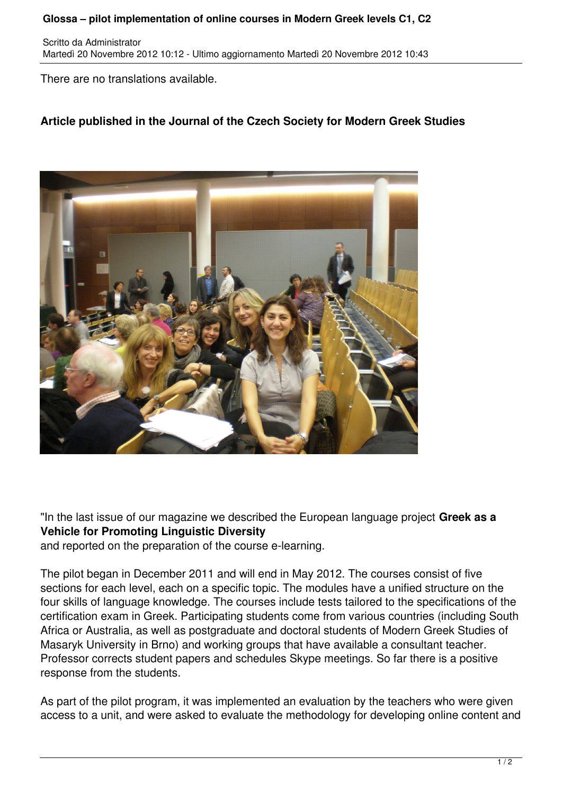## **Glossa – pilot implementation of online courses in Modern Greek levels C1, C2**

Scritto da Administrator Martedì 20 Novembre 2012 10:12 - Ultimo aggiornamento Martedì 20 Novembre 2012 10:43

There are no translations available.

## **Article published in the Journal of the Czech Society for Modern Greek Studies**



"In the last issue of our magazine we described the European language project **Greek as a Vehicle for Promoting Linguistic Diversity**

and reported on the preparation of the course e-learning.

The pilot began in December 2011 and will end in May 2012. The courses consist of five sections for each level, each on a specific topic. The modules have a unified structure on the four skills of language knowledge. The courses include tests tailored to the specifications of the certification exam in Greek. Participating students come from various countries (including South Africa or Australia, as well as postgraduate and doctoral students of Modern Greek Studies of Masaryk University in Brno) and working groups that have available a consultant teacher. Professor corrects student papers and schedules Skype meetings. So far there is a positive response from the students.

As part of the pilot program, it was implemented an evaluation by the teachers who were given access to a unit, and were asked to evaluate the methodology for developing online content and